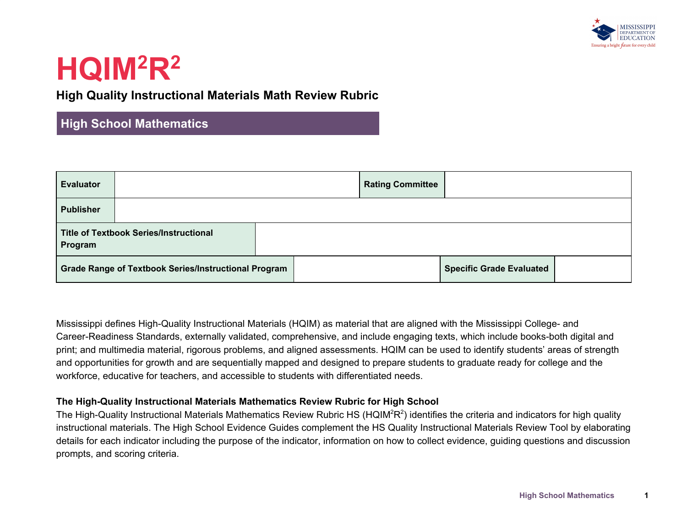

### **High Quality Instructional Materials Math Review Rubric**

### **High School Mathematics**

| <b>Evaluator</b> |                                                             | <b>Rating Committee</b> |                                 |  |
|------------------|-------------------------------------------------------------|-------------------------|---------------------------------|--|
| <b>Publisher</b> |                                                             |                         |                                 |  |
| Program          | <b>Title of Textbook Series/Instructional</b>               |                         |                                 |  |
|                  | <b>Grade Range of Textbook Series/Instructional Program</b> |                         | <b>Specific Grade Evaluated</b> |  |

Mississippi defines High-Quality Instructional Materials (HQIM) as material that are aligned with the Mississippi College- and Career-Readiness Standards, externally validated, comprehensive, and include engaging texts, which include books-both digital and print; and multimedia material, rigorous problems, and aligned assessments. HQIM can be used to identify students' areas of strength and opportunities for growth and are sequentially mapped and designed to prepare students to graduate ready for college and the workforce, educative for teachers, and accessible to students with differentiated needs.

#### **The High-Quality Instructional Materials Mathematics Review Rubric for High School**

The High-Quality Instructional Materials Mathematics Review Rubric HS (HQIM<sup>2</sup>R<sup>2</sup>) identifies the criteria and indicators for high quality instructional materials. The High School Evidence Guides complement the HS Quality Instructional Materials Review Tool by elaborating details for each indicator including the purpose of the indicator, information on how to collect evidence, guiding questions and discussion prompts, and scoring criteria.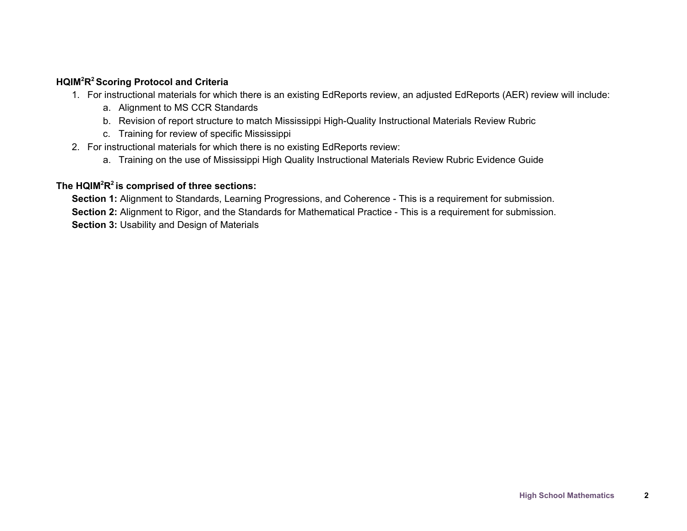#### **HQIM<sup>2</sup>R <sup>2</sup> Scoring Protocol and Criteria**

- 1. For instructional materials for which there is an existing EdReports review, an adjusted EdReports (AER) review will include:
	- a. Alignment to MS CCR Standards
	- b. Revision of report structure to match Mississippi High-Quality Instructional Materials Review Rubric
	- c. Training for review of specific Mississippi
- 2. For instructional materials for which there is no existing EdReports review:
	- a. Training on the use of Mississippi High Quality Instructional Materials Review Rubric Evidence Guide

#### **The HQIM<sup>2</sup>R 2 is comprised of three sections:**

**Section 1:** Alignment to Standards, Learning Progressions, and Coherence - This is a requirement for submission. **Section 2:** Alignment to Rigor, and the Standards for Mathematical Practice - This is a requirement for submission. **Section 3:** Usability and Design of Materials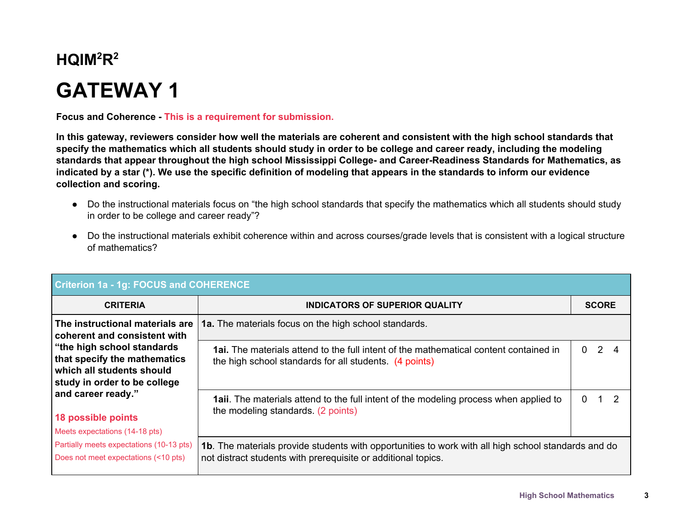# **GATEWAY 1**

**Focus and Coherence - This is a requirement for submission.**

In this gateway, reviewers consider how well the materials are coherent and consistent with the high school standards that specify the mathematics which all students should study in order to be college and career ready, including the modeling standards that appear throughout the high school Mississippi College- and Career-Readiness Standards for Mathematics, as indicated by a star (\*). We use the specific definition of modeling that appears in the standards to inform our evidence **collection and scoring.**

- Do the instructional materials focus on "the high school standards that specify the mathematics which all students should study in order to be college and career ready"?
- Do the instructional materials exhibit coherence within and across courses/grade levels that is consistent with a logical structure of mathematics?

| <b>Criterion 1a - 1g: FOCUS and COHERENCE</b>                                                                                                                                                                                                                                     |                                                                                                                                                                      |   |                         |    |  |
|-----------------------------------------------------------------------------------------------------------------------------------------------------------------------------------------------------------------------------------------------------------------------------------|----------------------------------------------------------------------------------------------------------------------------------------------------------------------|---|-------------------------|----|--|
| <b>CRITERIA</b>                                                                                                                                                                                                                                                                   | <b>INDICATORS OF SUPERIOR QUALITY</b>                                                                                                                                |   | <b>SCORE</b>            |    |  |
| The instructional materials are<br>coherent and consistent with<br>"the high school standards"<br>that specify the mathematics<br>$\vert$ which all students should<br>study in order to be college<br>and career ready."<br>18 possible points<br>Meets expectations (14-18 pts) | <b>1a.</b> The materials focus on the high school standards.                                                                                                         |   |                         |    |  |
|                                                                                                                                                                                                                                                                                   | <b>1ai.</b> The materials attend to the full intent of the mathematical content contained in<br>the high school standards for all students. (4 points)               | 0 | $\overline{\mathbf{2}}$ |    |  |
|                                                                                                                                                                                                                                                                                   | <b>1aii</b> . The materials attend to the full intent of the modeling process when applied to<br>the modeling standards. (2 points)                                  | 0 |                         | -2 |  |
| Partially meets expectations (10-13 pts)<br>Does not meet expectations (<10 pts)                                                                                                                                                                                                  | 1b. The materials provide students with opportunities to work with all high school standards and do<br>not distract students with prerequisite or additional topics. |   |                         |    |  |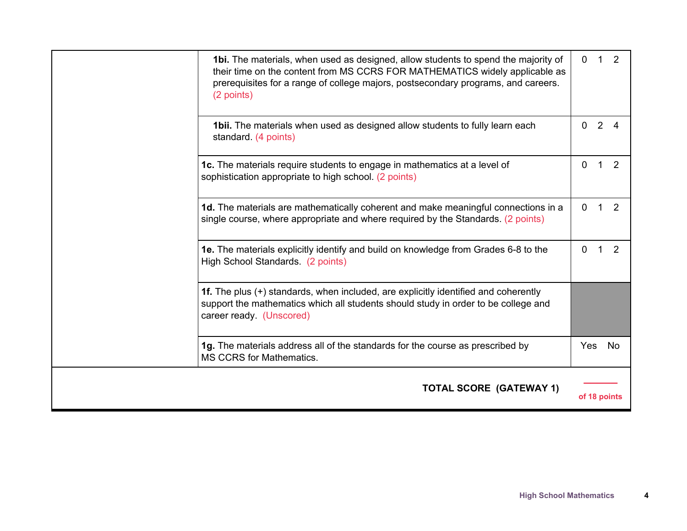| <b>1bi.</b> The materials, when used as designed, allow students to spend the majority of<br>their time on the content from MS CCRS FOR MATHEMATICS widely applicable as<br>prerequisites for a range of college majors, postsecondary programs, and careers.<br>(2 points) |              | 0 <sub>1</sub> | 2              |
|-----------------------------------------------------------------------------------------------------------------------------------------------------------------------------------------------------------------------------------------------------------------------------|--------------|----------------|----------------|
| 1bii. The materials when used as designed allow students to fully learn each<br>standard. (4 points)                                                                                                                                                                        | $\Omega$     | 2              | $\overline{4}$ |
| 1c. The materials require students to engage in mathematics at a level of<br>sophistication appropriate to high school. (2 points)                                                                                                                                          | $\mathbf 0$  | $\overline{1}$ | 2              |
| 1d. The materials are mathematically coherent and make meaningful connections in a<br>single course, where appropriate and where required by the Standards. (2 points)                                                                                                      | $\mathbf{0}$ |                |                |
| 1e. The materials explicitly identify and build on knowledge from Grades 6-8 to the<br>High School Standards. (2 points)                                                                                                                                                    | $\Omega$     | 1              | 2              |
| 1f. The plus (+) standards, when included, are explicitly identified and coherently<br>support the mathematics which all students should study in order to be college and<br>career ready. (Unscored)                                                                       |              |                |                |
| 1g. The materials address all of the standards for the course as prescribed by<br>MS CCRS for Mathematics.                                                                                                                                                                  | Yes          |                | No             |
| <b>TOTAL SCORE (GATEWAY 1)</b>                                                                                                                                                                                                                                              |              |                | of 18 points   |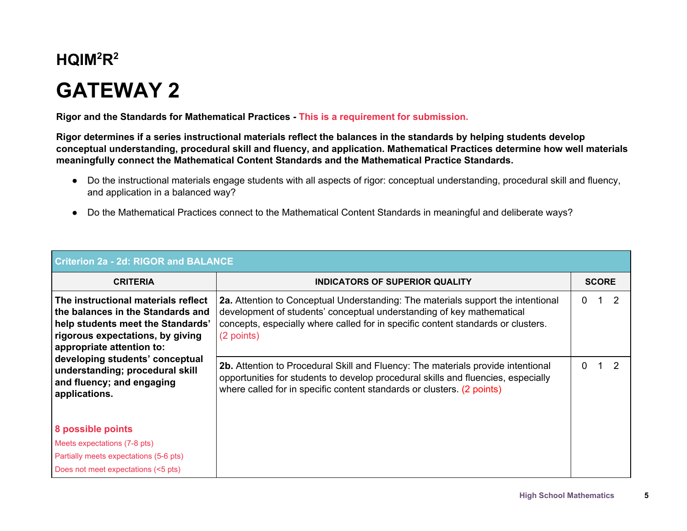# **GATEWAY 2**

**Rigor and the Standards for Mathematical Practices - This is a requirement for submission.**

Rigor determines if a series instructional materials reflect the balances in the standards by helping students develop **conceptual understanding, procedural skill and fluency, and application. Mathematical Practices determine how well materials meaningfully connect the Mathematical Content Standards and the Mathematical Practice Standards.**

- Do the instructional materials engage students with all aspects of rigor: conceptual understanding, procedural skill and fluency, and application in a balanced way?
- Do the Mathematical Practices connect to the Mathematical Content Standards in meaningful and deliberate ways?

| <b>Criterion 2a - 2d: RIGOR and BALANCE</b>                                                                                                                                                                                                                                                        |                                                                                                                                                                                                                                                                    |              |               |  |  |  |
|----------------------------------------------------------------------------------------------------------------------------------------------------------------------------------------------------------------------------------------------------------------------------------------------------|--------------------------------------------------------------------------------------------------------------------------------------------------------------------------------------------------------------------------------------------------------------------|--------------|---------------|--|--|--|
| <b>CRITERIA</b>                                                                                                                                                                                                                                                                                    | <b>INDICATORS OF SUPERIOR QUALITY</b>                                                                                                                                                                                                                              | <b>SCORE</b> |               |  |  |  |
| The instructional materials reflect<br>the balances in the Standards and<br>help students meet the Standards'<br>rigorous expectations, by giving<br>appropriate attention to:<br>developing students' conceptual<br>understanding; procedural skill<br>and fluency; and engaging<br>applications. | <b>2a.</b> Attention to Conceptual Understanding: The materials support the intentional<br>development of students' conceptual understanding of key mathematical<br>concepts, especially where called for in specific content standards or clusters.<br>(2 points) | 0            | $\mathcal{P}$ |  |  |  |
|                                                                                                                                                                                                                                                                                                    | 2b. Attention to Procedural Skill and Fluency: The materials provide intentional<br>opportunities for students to develop procedural skills and fluencies, especially<br>where called for in specific content standards or clusters. (2 points)                    | 0            |               |  |  |  |
| <b>8 possible points</b><br>Meets expectations (7-8 pts)<br>Partially meets expectations (5-6 pts)<br>Does not meet expectations (<5 pts)                                                                                                                                                          |                                                                                                                                                                                                                                                                    |              |               |  |  |  |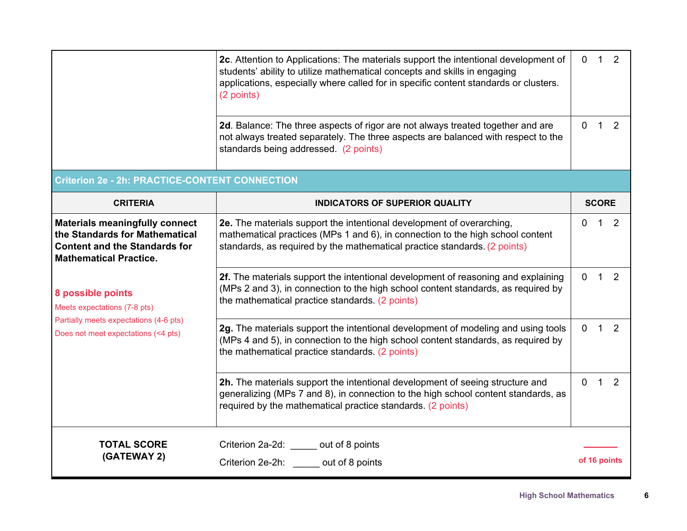|                                                                                                                                                  | 2c. Attention to Applications: The materials support the intentional development of<br>students' ability to utilize mathematical concepts and skills in engaging<br>applications, especially where called for in specific content standards or clusters.<br>(2 points) | $\overline{0}$ | $1\quad 2$     |                |
|--------------------------------------------------------------------------------------------------------------------------------------------------|------------------------------------------------------------------------------------------------------------------------------------------------------------------------------------------------------------------------------------------------------------------------|----------------|----------------|----------------|
|                                                                                                                                                  | 2d. Balance: The three aspects of rigor are not always treated together and are<br>not always treated separately. The three aspects are balanced with respect to the<br>standards being addressed. (2 points)                                                          | $\overline{0}$ | $1\quad 2$     |                |
| <b>Criterion 2e - 2h: PRACTICE-CONTENT CONNECTION</b>                                                                                            |                                                                                                                                                                                                                                                                        |                |                |                |
| <b>CRITERIA</b>                                                                                                                                  | <b>INDICATORS OF SUPERIOR QUALITY</b>                                                                                                                                                                                                                                  |                | <b>SCORE</b>   |                |
| <b>Materials meaningfully connect</b><br>the Standards for Mathematical<br><b>Content and the Standards for</b><br><b>Mathematical Practice.</b> | 2e. The materials support the intentional development of overarching,<br>mathematical practices (MPs 1 and 6), in connection to the high school content<br>standards, as required by the mathematical practice standards. (2 points)                                   | $\Omega$       | $\overline{1}$ | 2              |
| 8 possible points<br>Meets expectations (7-8 pts)                                                                                                | 2f. The materials support the intentional development of reasoning and explaining<br>(MPs 2 and 3), in connection to the high school content standards, as required by<br>the mathematical practice standards. (2 points)                                              | $\overline{0}$ | $1\quad 2$     |                |
| Partially meets expectations (4-6 pts)<br>Does not meet expectations (<4 pts)                                                                    | 2g. The materials support the intentional development of modeling and using tools<br>(MPs 4 and 5), in connection to the high school content standards, as required by<br>the mathematical practice standards. (2 points)                                              | $\overline{0}$ | $\overline{1}$ | $\overline{2}$ |
|                                                                                                                                                  | 2h. The materials support the intentional development of seeing structure and<br>generalizing (MPs 7 and 8), in connection to the high school content standards, as<br>required by the mathematical practice standards. (2 points)                                     | $\Omega$       | $\mathbf{1}$   | 2              |
| <b>TOTAL SCORE</b>                                                                                                                               | Criterion 2a-2d: ______ out of 8 points                                                                                                                                                                                                                                |                |                |                |
| (GATEWAY 2)                                                                                                                                      | Criterion 2e-2h: out of 8 points                                                                                                                                                                                                                                       |                |                | of 16 points   |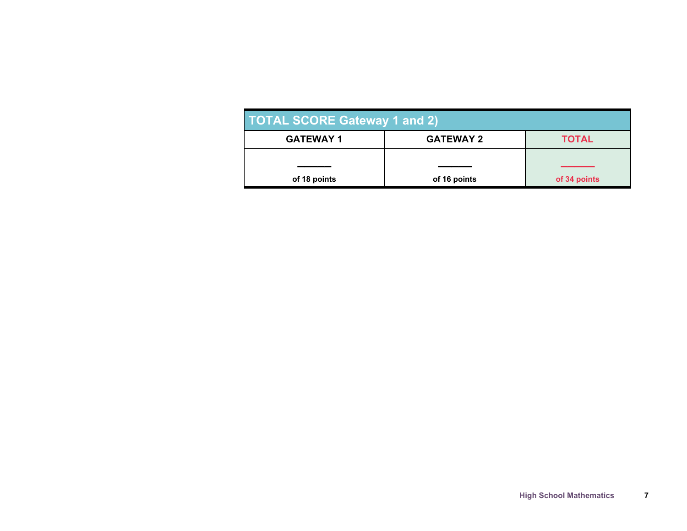| <b>TOTAL SCORE Gateway 1 and 2)</b> |                  |              |  |  |  |  |
|-------------------------------------|------------------|--------------|--|--|--|--|
| <b>GATEWAY 1</b>                    | <b>GATEWAY 2</b> | <b>TOTAL</b> |  |  |  |  |
|                                     |                  |              |  |  |  |  |
| of 18 points                        | of 16 points     | of 34 points |  |  |  |  |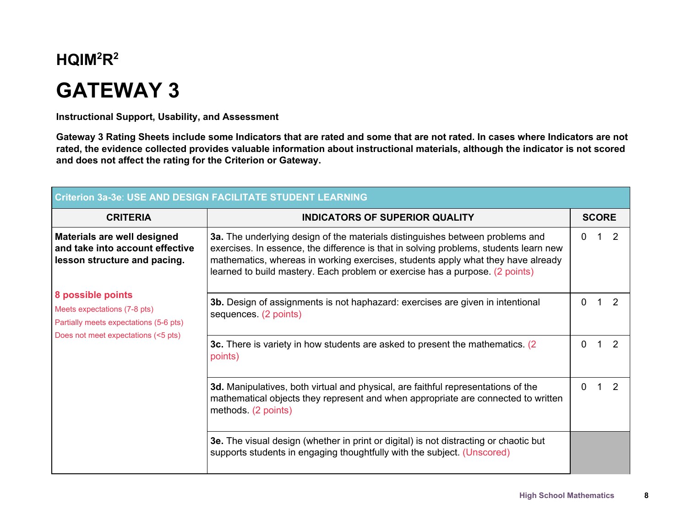## **GATEWAY 3**

**Instructional Support, Usability, and Assessment**

Gateway 3 Rating Sheets include some Indicators that are rated and some that are not rated. In cases where Indicators are not rated, the evidence collected provides valuable information about instructional materials, although the indicator is not scored **and does not affect the rating for the Criterion or Gateway.**

| <b>Criterion 3a-3e: USE AND DESIGN FACILITATE STUDENT LEARNING</b>                             |                                                                                                                                                                                                                                                                                                                                            |              |  |               |  |  |
|------------------------------------------------------------------------------------------------|--------------------------------------------------------------------------------------------------------------------------------------------------------------------------------------------------------------------------------------------------------------------------------------------------------------------------------------------|--------------|--|---------------|--|--|
| <b>CRITERIA</b>                                                                                | <b>INDICATORS OF SUPERIOR QUALITY</b>                                                                                                                                                                                                                                                                                                      | <b>SCORE</b> |  |               |  |  |
| Materials are well designed<br>and take into account effective<br>lesson structure and pacing. | 3a. The underlying design of the materials distinguishes between problems and<br>exercises. In essence, the difference is that in solving problems, students learn new<br>mathematics, whereas in working exercises, students apply what they have already<br>learned to build mastery. Each problem or exercise has a purpose. (2 points) | 0            |  | 2             |  |  |
| 8 possible points<br>Meets expectations (7-8 pts)<br>Partially meets expectations (5-6 pts)    | 3b. Design of assignments is not haphazard: exercises are given in intentional<br>sequences. (2 points)                                                                                                                                                                                                                                    | 0            |  | $\mathcal{P}$ |  |  |
| Does not meet expectations (<5 pts)                                                            | 3c. There is variety in how students are asked to present the mathematics. (2)<br>points)                                                                                                                                                                                                                                                  | 0            |  |               |  |  |
|                                                                                                | 3d. Manipulatives, both virtual and physical, are faithful representations of the<br>mathematical objects they represent and when appropriate are connected to written<br>methods. (2 points)                                                                                                                                              | 0            |  | 2             |  |  |
|                                                                                                | 3e. The visual design (whether in print or digital) is not distracting or chaotic but<br>supports students in engaging thoughtfully with the subject. (Unscored)                                                                                                                                                                           |              |  |               |  |  |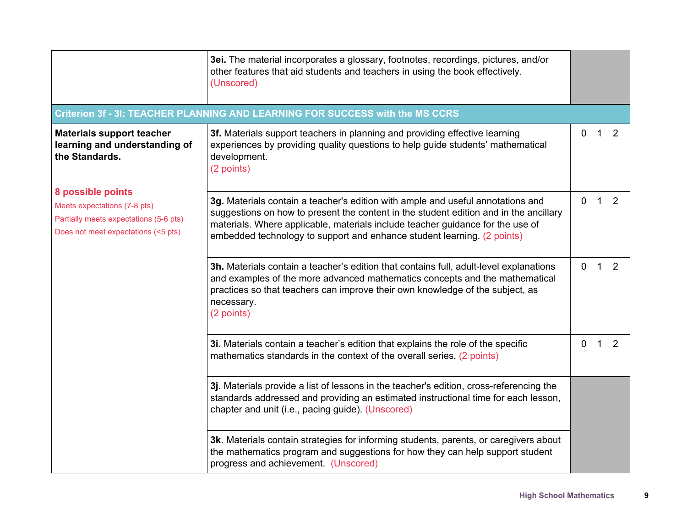|                                                                                                                                    | 3ei. The material incorporates a glossary, footnotes, recordings, pictures, and/or<br>other features that aid students and teachers in using the book effectively.<br>(Unscored)                                                                                                                                                      |          |   |   |  |
|------------------------------------------------------------------------------------------------------------------------------------|---------------------------------------------------------------------------------------------------------------------------------------------------------------------------------------------------------------------------------------------------------------------------------------------------------------------------------------|----------|---|---|--|
|                                                                                                                                    | Criterion 3f - 3I: TEACHER PLANNING AND LEARNING FOR SUCCESS with the MS CCRS                                                                                                                                                                                                                                                         |          |   |   |  |
| <b>Materials support teacher</b><br>learning and understanding of<br>the Standards.                                                | 3f. Materials support teachers in planning and providing effective learning<br>experiences by providing quality questions to help guide students' mathematical<br>development.<br>(2 points)                                                                                                                                          | 0        |   | 2 |  |
| 8 possible points<br>Meets expectations (7-8 pts)<br>Partially meets expectations (5-6 pts)<br>Does not meet expectations (<5 pts) | 3g. Materials contain a teacher's edition with ample and useful annotations and<br>suggestions on how to present the content in the student edition and in the ancillary<br>materials. Where applicable, materials include teacher guidance for the use of<br>embedded technology to support and enhance student learning. (2 points) | $\Omega$ | 1 | 2 |  |
|                                                                                                                                    | 3h. Materials contain a teacher's edition that contains full, adult-level explanations<br>and examples of the more advanced mathematics concepts and the mathematical<br>practices so that teachers can improve their own knowledge of the subject, as<br>necessary.<br>(2 points)                                                    | 0        | 1 | 2 |  |
|                                                                                                                                    | 3i. Materials contain a teacher's edition that explains the role of the specific<br>mathematics standards in the context of the overall series. (2 points)                                                                                                                                                                            | 0        | 1 | 2 |  |
|                                                                                                                                    | 3j. Materials provide a list of lessons in the teacher's edition, cross-referencing the<br>standards addressed and providing an estimated instructional time for each lesson,<br>chapter and unit (i.e., pacing guide). (Unscored)                                                                                                    |          |   |   |  |
|                                                                                                                                    | 3k. Materials contain strategies for informing students, parents, or caregivers about<br>the mathematics program and suggestions for how they can help support student<br>progress and achievement. (Unscored)                                                                                                                        |          |   |   |  |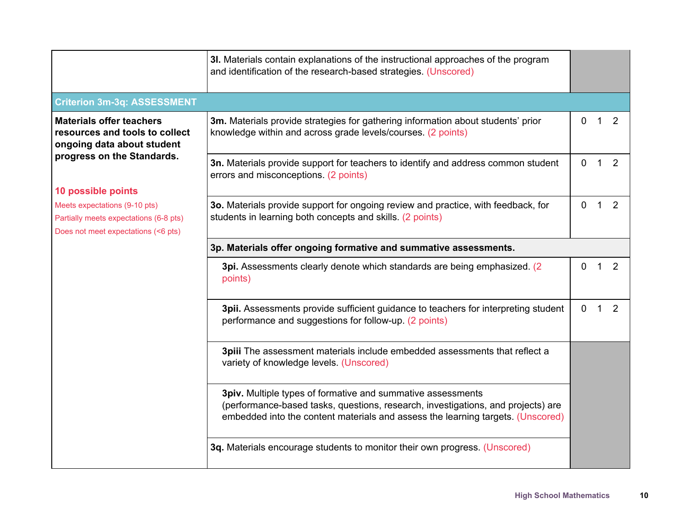|                                                                                                                                      | 3I. Materials contain explanations of the instructional approaches of the program<br>and identification of the research-based strategies. (Unscored)                                                                               |              |             |                |
|--------------------------------------------------------------------------------------------------------------------------------------|------------------------------------------------------------------------------------------------------------------------------------------------------------------------------------------------------------------------------------|--------------|-------------|----------------|
| <b>Criterion 3m-3q: ASSESSMENT</b>                                                                                                   |                                                                                                                                                                                                                                    |              |             |                |
| <b>Materials offer teachers</b><br>resources and tools to collect<br>ongoing data about student<br>progress on the Standards.        | 3m. Materials provide strategies for gathering information about students' prior<br>knowledge within and across grade levels/courses. (2 points)                                                                                   | $\Omega$     | 1.          | 2              |
|                                                                                                                                      | 3n. Materials provide support for teachers to identify and address common student<br>errors and misconceptions. (2 points)                                                                                                         | $\mathbf{0}$ | $\mathbf 1$ | 2              |
| 10 possible points<br>Meets expectations (9-10 pts)<br>Partially meets expectations (6-8 pts)<br>Does not meet expectations (<6 pts) | 30. Materials provide support for ongoing review and practice, with feedback, for<br>students in learning both concepts and skills. (2 points)                                                                                     | $\Omega$     | $\mathbf 1$ | 2              |
|                                                                                                                                      | 3p. Materials offer ongoing formative and summative assessments.                                                                                                                                                                   |              |             |                |
|                                                                                                                                      | 3pi. Assessments clearly denote which standards are being emphasized. (2)<br>points)                                                                                                                                               | 0            | 1           | 2              |
|                                                                                                                                      | 3pii. Assessments provide sufficient guidance to teachers for interpreting student<br>performance and suggestions for follow-up. (2 points)                                                                                        | $\Omega$     | 1           | $\overline{2}$ |
|                                                                                                                                      | 3piii The assessment materials include embedded assessments that reflect a<br>variety of knowledge levels. (Unscored)                                                                                                              |              |             |                |
|                                                                                                                                      | 3piv. Multiple types of formative and summative assessments<br>(performance-based tasks, questions, research, investigations, and projects) are<br>embedded into the content materials and assess the learning targets. (Unscored) |              |             |                |
|                                                                                                                                      | 3q. Materials encourage students to monitor their own progress. (Unscored)                                                                                                                                                         |              |             |                |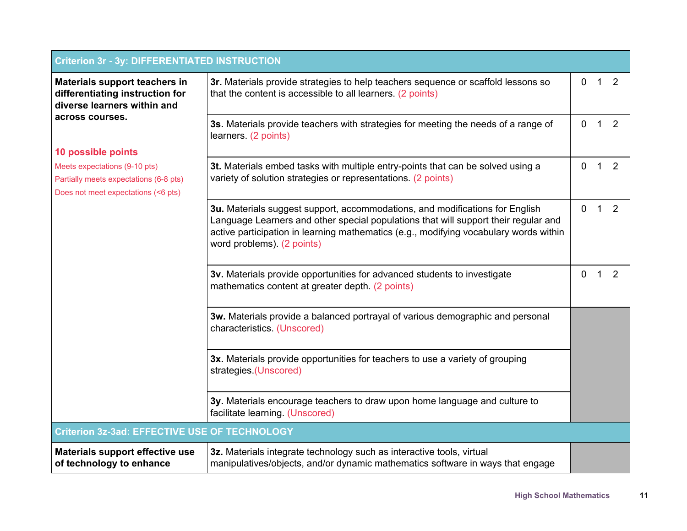| <b>Criterion 3r - 3y: DIFFERENTIATED INSTRUCTION</b>                                                           |                                                                                                                                                                                                                                                                                            |              |                |   |
|----------------------------------------------------------------------------------------------------------------|--------------------------------------------------------------------------------------------------------------------------------------------------------------------------------------------------------------------------------------------------------------------------------------------|--------------|----------------|---|
| Materials support teachers in<br>differentiating instruction for<br>diverse learners within and                | 3r. Materials provide strategies to help teachers sequence or scaffold lessons so<br>that the content is accessible to all learners. (2 points)                                                                                                                                            | $\mathbf 0$  | $\mathbf{1}$   | 2 |
| across courses.                                                                                                | 3s. Materials provide teachers with strategies for meeting the needs of a range of<br>learners. (2 points)                                                                                                                                                                                 | $\mathbf 0$  | 1              | 2 |
| 10 possible points                                                                                             |                                                                                                                                                                                                                                                                                            |              |                |   |
| Meets expectations (9-10 pts)<br>Partially meets expectations (6-8 pts)<br>Does not meet expectations (<6 pts) | 3t. Materials embed tasks with multiple entry-points that can be solved using a<br>variety of solution strategies or representations. (2 points)                                                                                                                                           | 0            | 1              | 2 |
|                                                                                                                | 3u. Materials suggest support, accommodations, and modifications for English<br>Language Learners and other special populations that will support their regular and<br>active participation in learning mathematics (e.g., modifying vocabulary words within<br>word problems). (2 points) | $\mathbf{0}$ | $\overline{1}$ | 2 |
|                                                                                                                | 3v. Materials provide opportunities for advanced students to investigate<br>mathematics content at greater depth. (2 points)                                                                                                                                                               | 0            | 1              | 2 |
|                                                                                                                | 3w. Materials provide a balanced portrayal of various demographic and personal<br>characteristics. (Unscored)                                                                                                                                                                              |              |                |   |
|                                                                                                                | 3x. Materials provide opportunities for teachers to use a variety of grouping<br>strategies (Unscored)                                                                                                                                                                                     |              |                |   |
|                                                                                                                | 3y. Materials encourage teachers to draw upon home language and culture to<br>facilitate learning. (Unscored)                                                                                                                                                                              |              |                |   |
| <b>Criterion 3z-3ad: EFFECTIVE USE OF TECHNOLOGY</b>                                                           |                                                                                                                                                                                                                                                                                            |              |                |   |
| Materials support effective use<br>of technology to enhance                                                    | 3z. Materials integrate technology such as interactive tools, virtual<br>manipulatives/objects, and/or dynamic mathematics software in ways that engage                                                                                                                                    |              |                |   |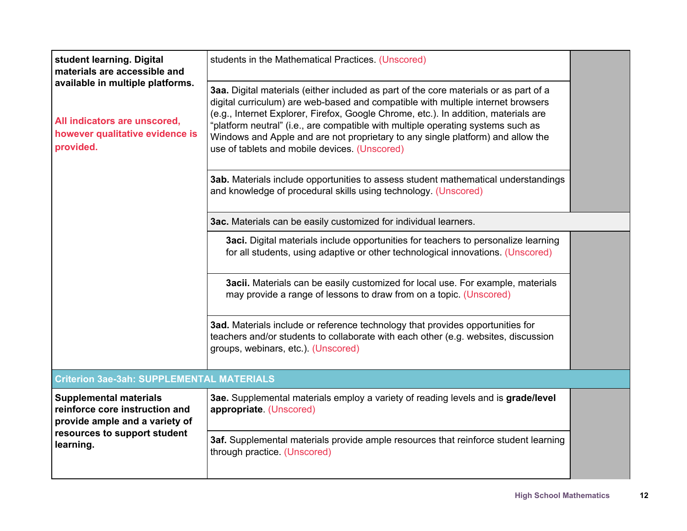| student learning. Digital<br>materials are accessible and                                                        | students in the Mathematical Practices. (Unscored)                                                                                                                                                                                                                                                                                                                                                                                                                                       |  |
|------------------------------------------------------------------------------------------------------------------|------------------------------------------------------------------------------------------------------------------------------------------------------------------------------------------------------------------------------------------------------------------------------------------------------------------------------------------------------------------------------------------------------------------------------------------------------------------------------------------|--|
| available in multiple platforms.<br>All indicators are unscored,<br>however qualitative evidence is<br>provided. | 3aa. Digital materials (either included as part of the core materials or as part of a<br>digital curriculum) are web-based and compatible with multiple internet browsers<br>(e.g., Internet Explorer, Firefox, Google Chrome, etc.). In addition, materials are<br>"platform neutral" (i.e., are compatible with multiple operating systems such as<br>Windows and Apple and are not proprietary to any single platform) and allow the<br>use of tablets and mobile devices. (Unscored) |  |
|                                                                                                                  | <b>3ab.</b> Materials include opportunities to assess student mathematical understandings<br>and knowledge of procedural skills using technology. (Unscored)                                                                                                                                                                                                                                                                                                                             |  |
|                                                                                                                  | 3ac. Materials can be easily customized for individual learners.                                                                                                                                                                                                                                                                                                                                                                                                                         |  |
|                                                                                                                  | <b>3aci.</b> Digital materials include opportunities for teachers to personalize learning<br>for all students, using adaptive or other technological innovations. (Unscored)                                                                                                                                                                                                                                                                                                             |  |
|                                                                                                                  | 3acii. Materials can be easily customized for local use. For example, materials<br>may provide a range of lessons to draw from on a topic. (Unscored)                                                                                                                                                                                                                                                                                                                                    |  |
|                                                                                                                  | 3ad. Materials include or reference technology that provides opportunities for<br>teachers and/or students to collaborate with each other (e.g. websites, discussion<br>groups, webinars, etc.). (Unscored)                                                                                                                                                                                                                                                                              |  |
| <b>Criterion 3ae-3ah: SUPPLEMENTAL MATERIALS</b>                                                                 |                                                                                                                                                                                                                                                                                                                                                                                                                                                                                          |  |
| <b>Supplemental materials</b><br>reinforce core instruction and<br>provide ample and a variety of                | 3ae. Supplemental materials employ a variety of reading levels and is grade/level<br>appropriate. (Unscored)                                                                                                                                                                                                                                                                                                                                                                             |  |
| resources to support student<br>learning.                                                                        | 3af. Supplemental materials provide ample resources that reinforce student learning<br>through practice. (Unscored)                                                                                                                                                                                                                                                                                                                                                                      |  |